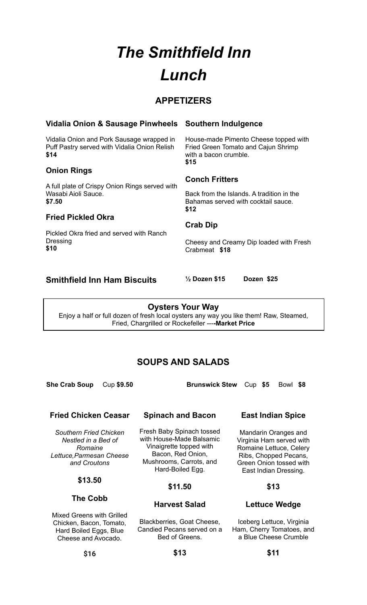# *The Smithfield Inn Lunch*

# **APPETIZERS**

## **Vidalia Onion & Sausage Pinwheels**

Vidalia Onion and Pork Sausage wrapped in Puff Pastry served with Vidalia Onion Relish **\$14**

## **Onion Rings**

A full plate of Crispy Onion Rings served with Wasabi Aioli Sauce. **\$7.50**

## **Fried Pickled Okra**

Pickled Okra fried and served with Ranch Dressing **\$10**

# **Southern Indulgence**

House-made Pimento Cheese topped with Fried Green Tomato and Cajun Shrimp with a bacon crumble. **\$15**

#### **Conch Fritters**

Back from the Islands. A tradition in the Bahamas served with cocktail sauce. **\$12**

#### **Crab Dip**

Cheesy and Creamy Dip loaded with Fresh Crabmeat **\$18**

# **Smithfield Inn Ham Biscuits ½ Dozen \$15 Dozen \$25**

**Oysters Your Way** Enjoy a half or full dozen of fresh local oysters any way you like them! Raw, Steamed, Fried, Chargrilled or Rockefeller ---**-Market Price**

# **SOUPS AND SALADS**

**Spinach and Bacon**

Fresh Baby Spinach tossed with House-Made Balsamic Vinaigrette topped with Bacon, Red Onion, Mushrooms, Carrots, and Hard-Boiled Egg.

**She Crab Soup** Cup **\$9.50 Brunswick Stew** Cup **\$5** Bowl **\$8**

## **Fried Chicken Ceasar**

*Southern Fried Chicken Nestled in a Bed of Romaine Lettuce,Parmesan Cheese and Croutons*

#### **\$13.50**

**The Cobb**

Mixed Greens with Grilled Chicken, Bacon, Tomato, Hard Boiled Eggs, Blue Cheese and Avocado.

#### **\$11.50**

#### **Harvest Salad**

Blackberries, Goat Cheese, Candied Pecans served on a Bed of Greens.

**East Indian Spice**

Mandarin Oranges and Virginia Ham served with Romaine Lettuce, Celery Ribs, Chopped Pecans, Green Onion tossed with East Indian Dressing.

#### **\$13**

#### **Lettuce Wedge**

Iceberg Lettuce, Virginia Ham, Cherry Tomatoes, and a Blue Cheese Crumble

**\$16**